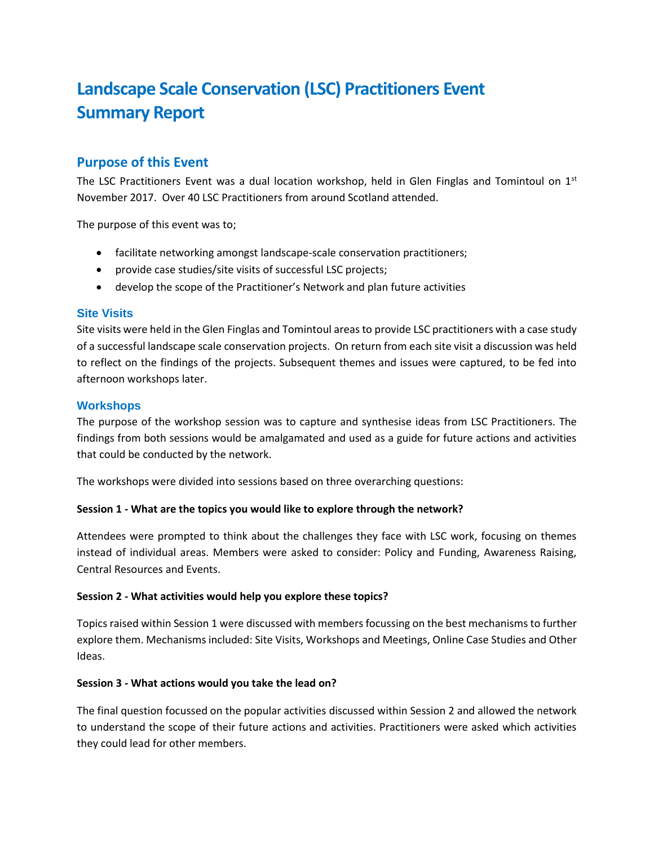# **Landscape Scale Conservation (LSC) Practitioners Event Summary Report**

## **Purpose of this Event**

The LSC Practitioners Event was a dual location workshop, held in Glen Finglas and Tomintoul on  $1<sup>st</sup>$ November 2017. Over 40 LSC Practitioners from around Scotland attended.

The purpose of this event was to;

- facilitate networking amongst landscape-scale conservation practitioners;
- provide case studies/site visits of successful LSC projects;
- develop the scope of the Practitioner's Network and plan future activities

#### **Site Visits**

Site visits were held in the Glen Finglas and Tomintoul areas to provide LSC practitioners with a case study of a successful landscape scale conservation projects. On return from each site visit a discussion was held to reflect on the findings of the projects. Subsequent themes and issues were captured, to be fed into afternoon workshops later.

#### **Workshops**

The purpose of the workshop session was to capture and synthesise ideas from LSC Practitioners. The findings from both sessions would be amalgamated and used as a guide for future actions and activities that could be conducted by the network.

The workshops were divided into sessions based on three overarching questions:

#### **Session 1 - What are the topics you would like to explore through the network?**

Attendees were prompted to think about the challenges they face with LSC work, focusing on themes instead of individual areas. Members were asked to consider: Policy and Funding, Awareness Raising, Central Resources and Events.

#### **Session 2 - What activities would help you explore these topics?**

Topics raised within Session 1 were discussed with members focussing on the best mechanisms to further explore them. Mechanisms included: Site Visits, Workshops and Meetings, Online Case Studies and Other Ideas.

#### **Session 3 - What actions would you take the lead on?**

The final question focussed on the popular activities discussed within Session 2 and allowed the network to understand the scope of their future actions and activities. Practitioners were asked which activities they could lead for other members.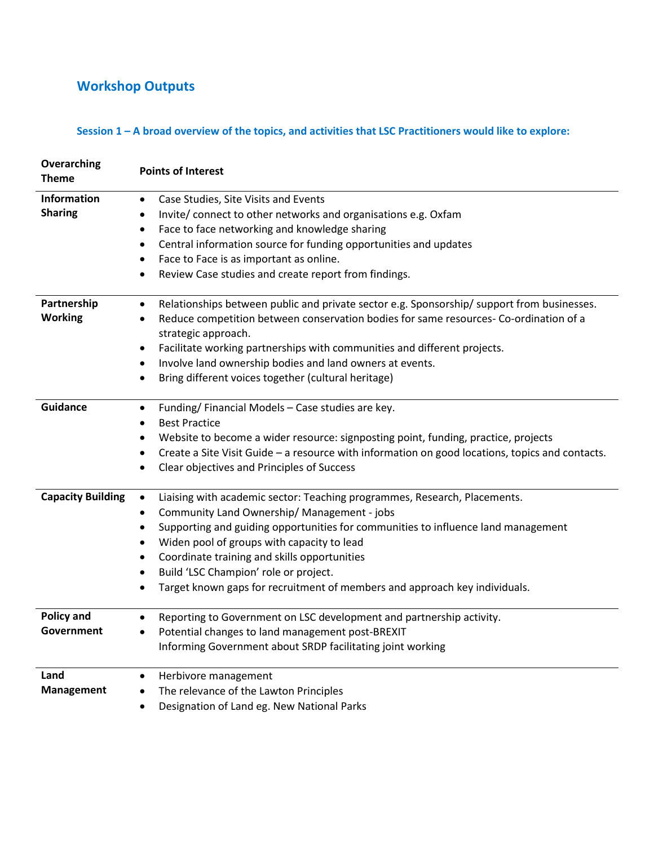## **Workshop Outputs**

## **Session 1 – A broad overview of the topics, and activities that LSC Practitioners would like to explore:**

| Overarching<br><b>Theme</b> | <b>Points of Interest</b>                                                                                                 |  |  |  |  |  |
|-----------------------------|---------------------------------------------------------------------------------------------------------------------------|--|--|--|--|--|
| <b>Information</b>          | Case Studies, Site Visits and Events<br>٠                                                                                 |  |  |  |  |  |
| <b>Sharing</b>              | Invite/ connect to other networks and organisations e.g. Oxfam<br>$\bullet$                                               |  |  |  |  |  |
|                             | Face to face networking and knowledge sharing<br>$\bullet$                                                                |  |  |  |  |  |
|                             | Central information source for funding opportunities and updates<br>$\bullet$                                             |  |  |  |  |  |
|                             | Face to Face is as important as online.<br>$\bullet$                                                                      |  |  |  |  |  |
|                             | Review Case studies and create report from findings.                                                                      |  |  |  |  |  |
| Partnership                 | Relationships between public and private sector e.g. Sponsorship/ support from businesses.<br>$\bullet$                   |  |  |  |  |  |
| <b>Working</b>              | Reduce competition between conservation bodies for same resources- Co-ordination of a<br>$\bullet$<br>strategic approach. |  |  |  |  |  |
|                             | Facilitate working partnerships with communities and different projects.<br>$\bullet$                                     |  |  |  |  |  |
|                             | Involve land ownership bodies and land owners at events.                                                                  |  |  |  |  |  |
|                             | Bring different voices together (cultural heritage)                                                                       |  |  |  |  |  |
| <b>Guidance</b>             | Funding/Financial Models - Case studies are key.<br>$\bullet$                                                             |  |  |  |  |  |
|                             | <b>Best Practice</b><br>$\bullet$                                                                                         |  |  |  |  |  |
|                             | Website to become a wider resource: signposting point, funding, practice, projects<br>$\bullet$                           |  |  |  |  |  |
|                             | Create a Site Visit Guide - a resource with information on good locations, topics and contacts.                           |  |  |  |  |  |
|                             | Clear objectives and Principles of Success                                                                                |  |  |  |  |  |
| <b>Capacity Building</b>    | Liaising with academic sector: Teaching programmes, Research, Placements.<br>$\bullet$                                    |  |  |  |  |  |
|                             | Community Land Ownership/ Management - jobs<br>$\bullet$                                                                  |  |  |  |  |  |
|                             | Supporting and guiding opportunities for communities to influence land management<br>$\bullet$                            |  |  |  |  |  |
|                             | Widen pool of groups with capacity to lead<br>$\bullet$                                                                   |  |  |  |  |  |
|                             | Coordinate training and skills opportunities<br>$\bullet$                                                                 |  |  |  |  |  |
|                             | Build 'LSC Champion' role or project.<br>$\bullet$                                                                        |  |  |  |  |  |
|                             | Target known gaps for recruitment of members and approach key individuals.                                                |  |  |  |  |  |
| <b>Policy and</b>           | Reporting to Government on LSC development and partnership activity.<br>$\bullet$                                         |  |  |  |  |  |
| Government                  | Potential changes to land management post-BREXIT<br>$\bullet$                                                             |  |  |  |  |  |
|                             | Informing Government about SRDP facilitating joint working                                                                |  |  |  |  |  |
| Land                        | Herbivore management<br>$\bullet$                                                                                         |  |  |  |  |  |
| Management                  | The relevance of the Lawton Principles<br>$\bullet$                                                                       |  |  |  |  |  |
|                             | Designation of Land eg. New National Parks<br>$\bullet$                                                                   |  |  |  |  |  |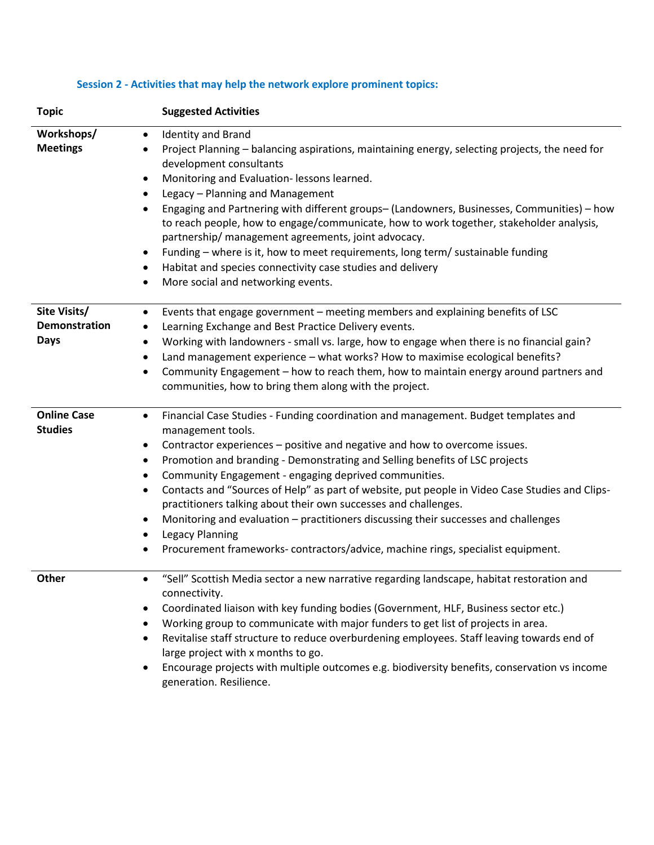| <b>Topic</b>                                 | <b>Suggested Activities</b>                                                                                                                                                                                                                                                                                                                                                                                                                                                                                                                                                                                                                                                                                                                                    |  |  |  |
|----------------------------------------------|----------------------------------------------------------------------------------------------------------------------------------------------------------------------------------------------------------------------------------------------------------------------------------------------------------------------------------------------------------------------------------------------------------------------------------------------------------------------------------------------------------------------------------------------------------------------------------------------------------------------------------------------------------------------------------------------------------------------------------------------------------------|--|--|--|
| Workshops/<br><b>Meetings</b>                | <b>Identity and Brand</b><br>$\bullet$<br>Project Planning - balancing aspirations, maintaining energy, selecting projects, the need for<br>٠<br>development consultants<br>Monitoring and Evaluation- lessons learned.<br>$\bullet$<br>Legacy - Planning and Management<br>$\bullet$<br>Engaging and Partnering with different groups- (Landowners, Businesses, Communities) - how<br>٠<br>to reach people, how to engage/communicate, how to work together, stakeholder analysis,<br>partnership/ management agreements, joint advocacy.<br>Funding - where is it, how to meet requirements, long term/ sustainable funding<br>٠<br>Habitat and species connectivity case studies and delivery<br>٠<br>More social and networking events.<br>٠               |  |  |  |
| Site Visits/<br>Demonstration<br><b>Days</b> | Events that engage government - meeting members and explaining benefits of LSC<br>$\bullet$<br>Learning Exchange and Best Practice Delivery events.<br>٠<br>Working with landowners - small vs. large, how to engage when there is no financial gain?<br>٠<br>Land management experience - what works? How to maximise ecological benefits?<br>٠<br>Community Engagement - how to reach them, how to maintain energy around partners and<br>$\bullet$<br>communities, how to bring them along with the project.                                                                                                                                                                                                                                                |  |  |  |
| <b>Online Case</b><br><b>Studies</b>         | Financial Case Studies - Funding coordination and management. Budget templates and<br>$\bullet$<br>management tools.<br>Contractor experiences - positive and negative and how to overcome issues.<br>٠<br>Promotion and branding - Demonstrating and Selling benefits of LSC projects<br>٠<br>Community Engagement - engaging deprived communities.<br>$\bullet$<br>Contacts and "Sources of Help" as part of website, put people in Video Case Studies and Clips-<br>٠<br>practitioners talking about their own successes and challenges.<br>Monitoring and evaluation - practitioners discussing their successes and challenges<br>٠<br><b>Legacy Planning</b><br>٠<br>Procurement frameworks-contractors/advice, machine rings, specialist equipment.<br>٠ |  |  |  |
| <b>Other</b>                                 | "Sell" Scottish Media sector a new narrative regarding landscape, habitat restoration and<br>$\bullet$<br>connectivity.<br>Coordinated liaison with key funding bodies (Government, HLF, Business sector etc.)<br>$\bullet$<br>Working group to communicate with major funders to get list of projects in area.<br>٠<br>Revitalise staff structure to reduce overburdening employees. Staff leaving towards end of<br>large project with x months to go.<br>Encourage projects with multiple outcomes e.g. biodiversity benefits, conservation vs income<br>generation. Resilience.                                                                                                                                                                            |  |  |  |

## **Session 2 - Activities that may help the network explore prominent topics:**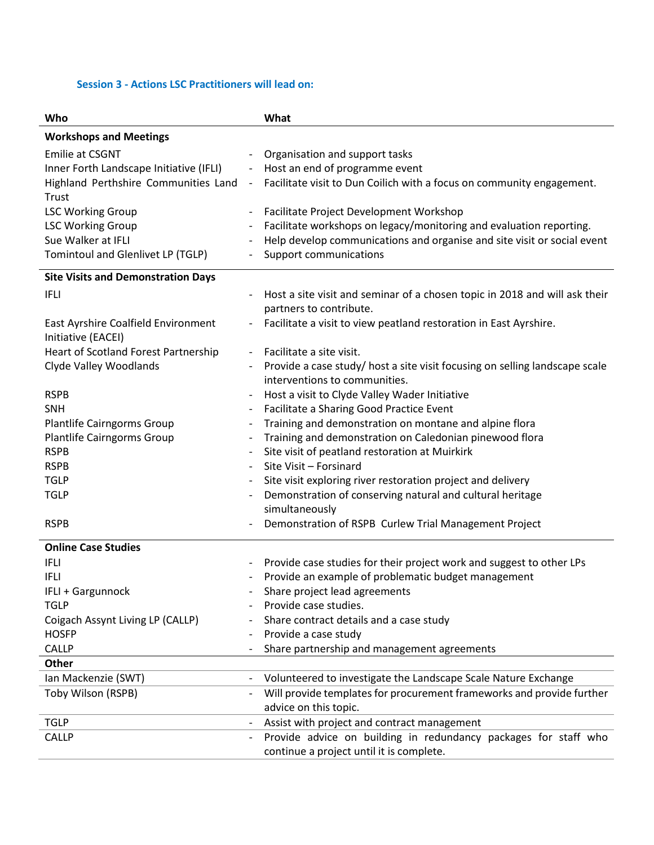#### **Session 3 - Actions LSC Practitioners will lead on:**

| Who                                                       | What                                                                                                   |  |  |  |  |
|-----------------------------------------------------------|--------------------------------------------------------------------------------------------------------|--|--|--|--|
| <b>Workshops and Meetings</b>                             |                                                                                                        |  |  |  |  |
| <b>Emilie at CSGNT</b>                                    | Organisation and support tasks<br>$\overline{\phantom{a}}$                                             |  |  |  |  |
| Inner Forth Landscape Initiative (IFLI)                   | Host an end of programme event<br>$\overline{\phantom{a}}$                                             |  |  |  |  |
| Highland Perthshire Communities Land                      | Facilitate visit to Dun Coilich with a focus on community engagement.<br>$\overline{\phantom{a}}$      |  |  |  |  |
| Trust                                                     |                                                                                                        |  |  |  |  |
| <b>LSC Working Group</b>                                  | Facilitate Project Development Workshop<br>$\overline{\phantom{a}}$                                    |  |  |  |  |
| <b>LSC Working Group</b>                                  | Facilitate workshops on legacy/monitoring and evaluation reporting.                                    |  |  |  |  |
| Sue Walker at IFLI                                        | Help develop communications and organise and site visit or social event                                |  |  |  |  |
| Tomintoul and Glenlivet LP (TGLP)                         | Support communications                                                                                 |  |  |  |  |
| <b>Site Visits and Demonstration Days</b>                 |                                                                                                        |  |  |  |  |
| <b>IFLI</b>                                               | Host a site visit and seminar of a chosen topic in 2018 and will ask their<br>$\overline{\phantom{a}}$ |  |  |  |  |
|                                                           | partners to contribute.                                                                                |  |  |  |  |
| East Ayrshire Coalfield Environment<br>Initiative (EACEI) | Facilitate a visit to view peatland restoration in East Ayrshire.                                      |  |  |  |  |
| Heart of Scotland Forest Partnership                      | Facilitate a site visit.                                                                               |  |  |  |  |
| Clyde Valley Woodlands                                    | Provide a case study/ host a site visit focusing on selling landscape scale                            |  |  |  |  |
|                                                           | interventions to communities.                                                                          |  |  |  |  |
| <b>RSPB</b>                                               | Host a visit to Clyde Valley Wader Initiative                                                          |  |  |  |  |
| <b>SNH</b>                                                | Facilitate a Sharing Good Practice Event<br>$\overline{\phantom{a}}$                                   |  |  |  |  |
| Plantlife Cairngorms Group                                | Training and demonstration on montane and alpine flora<br>$\overline{\phantom{a}}$                     |  |  |  |  |
| Plantlife Cairngorms Group                                | Training and demonstration on Caledonian pinewood flora                                                |  |  |  |  |
| <b>RSPB</b>                                               | Site visit of peatland restoration at Muirkirk                                                         |  |  |  |  |
| <b>RSPB</b>                                               | Site Visit - Forsinard                                                                                 |  |  |  |  |
| <b>TGLP</b>                                               | Site visit exploring river restoration project and delivery                                            |  |  |  |  |
| <b>TGLP</b>                                               | Demonstration of conserving natural and cultural heritage<br>simultaneously                            |  |  |  |  |
| <b>RSPB</b>                                               | Demonstration of RSPB Curlew Trial Management Project                                                  |  |  |  |  |
| <b>Online Case Studies</b>                                |                                                                                                        |  |  |  |  |
| <b>IFLI</b>                                               | Provide case studies for their project work and suggest to other LPs                                   |  |  |  |  |
| <b>IFLI</b>                                               | Provide an example of problematic budget management                                                    |  |  |  |  |
| IFLI + Gargunnock                                         | Share project lead agreements                                                                          |  |  |  |  |
| <b>TGLP</b>                                               | Provide case studies.                                                                                  |  |  |  |  |
| Coigach Assynt Living LP (CALLP)                          | Share contract details and a case study                                                                |  |  |  |  |
| <b>HOSFP</b>                                              | Provide a case study                                                                                   |  |  |  |  |
| <b>CALLP</b>                                              | Share partnership and management agreements                                                            |  |  |  |  |
| Other                                                     |                                                                                                        |  |  |  |  |
| Ian Mackenzie (SWT)                                       | Volunteered to investigate the Landscape Scale Nature Exchange<br>$\overline{\phantom{a}}$             |  |  |  |  |
| Toby Wilson (RSPB)                                        | Will provide templates for procurement frameworks and provide further                                  |  |  |  |  |
|                                                           | advice on this topic.                                                                                  |  |  |  |  |
| <b>TGLP</b>                                               | Assist with project and contract management<br>$\overline{\phantom{a}}$                                |  |  |  |  |
| <b>CALLP</b>                                              | Provide advice on building in redundancy packages for staff who<br>$\overline{\phantom{a}}$            |  |  |  |  |
|                                                           | continue a project until it is complete.                                                               |  |  |  |  |